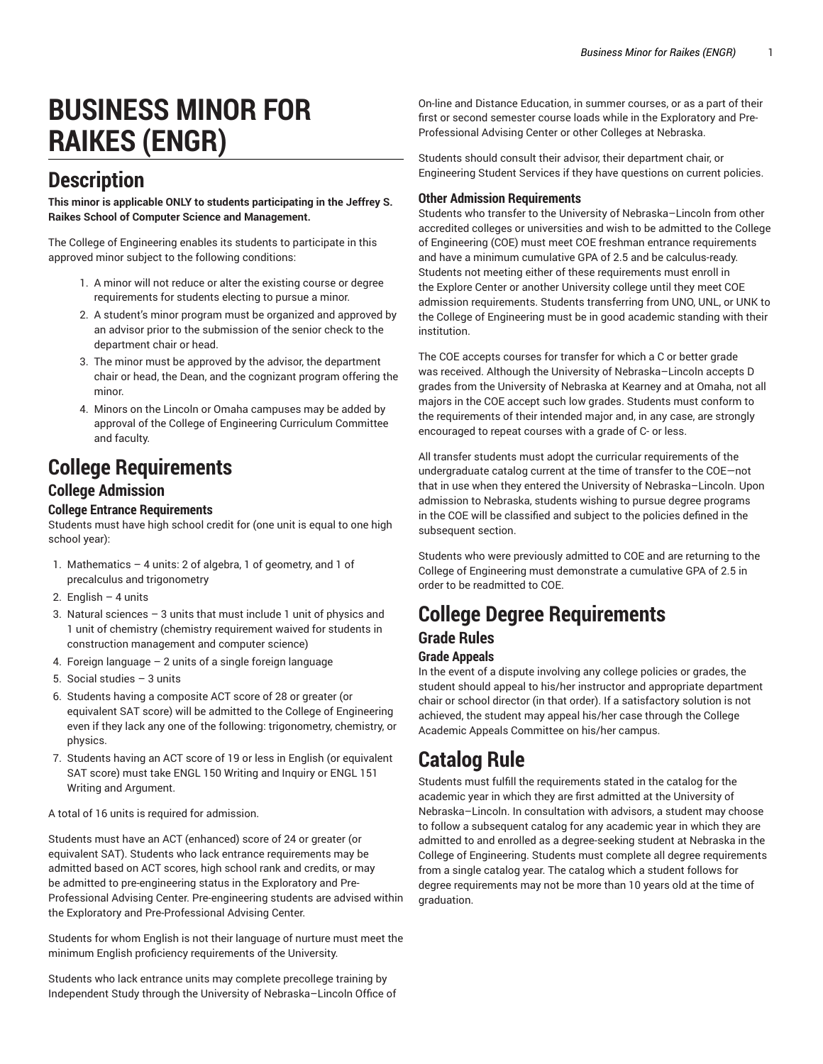# **BUSINESS MINOR FOR RAIKES (ENGR)**

# **Description**

**This minor is applicable ONLY to students participating in the Jeffrey S. Raikes School of Computer Science and Management.**

The College of Engineering enables its students to participate in this approved minor subject to the following conditions:

- 1. A minor will not reduce or alter the existing course or degree requirements for students electing to pursue a minor.
- 2. A student's minor program must be organized and approved by an advisor prior to the submission of the senior check to the department chair or head.
- 3. The minor must be approved by the advisor, the department chair or head, the Dean, and the cognizant program offering the minor.
- 4. Minors on the Lincoln or Omaha campuses may be added by approval of the College of Engineering Curriculum Committee and faculty.

# **College Requirements**

## **College Admission**

### **College Entrance Requirements**

Students must have high school credit for (one unit is equal to one high school year):

- 1. Mathematics 4 units: 2 of algebra, 1 of geometry, and 1 of precalculus and trigonometry
- 2. English  $-4$  units
- 3. Natural sciences 3 units that must include 1 unit of physics and 1 unit of chemistry (chemistry requirement waived for students in construction management and computer science)
- 4. Foreign language 2 units of a single foreign language
- 5. Social studies 3 units
- 6. Students having a composite ACT score of 28 or greater (or equivalent SAT score) will be admitted to the College of Engineering even if they lack any one of the following: trigonometry, chemistry, or physics.
- 7. Students having an ACT score of 19 or less in English (or equivalent SAT score) must take ENGL 150 Writing and Inquiry or ENGL 151 Writing and Argument.

A total of 16 units is required for admission.

Students must have an ACT (enhanced) score of 24 or greater (or equivalent SAT). Students who lack entrance requirements may be admitted based on ACT scores, high school rank and credits, or may be admitted to pre-engineering status in the Exploratory and Pre-Professional Advising Center. Pre-engineering students are advised within the Exploratory and Pre-Professional Advising Center.

Students for whom English is not their language of nurture must meet the minimum English proficiency requirements of the University.

Students who lack entrance units may complete precollege training by Independent Study through the University of Nebraska–Lincoln Office of

On-line and Distance Education, in summer courses, or as a part of their first or second semester course loads while in the Exploratory and Pre-Professional Advising Center or other Colleges at Nebraska.

Students should consult their advisor, their department chair, or Engineering Student Services if they have questions on current policies.

#### **Other Admission Requirements**

Students who transfer to the University of Nebraska–Lincoln from other accredited colleges or universities and wish to be admitted to the College of Engineering (COE) must meet COE freshman entrance requirements and have a minimum cumulative GPA of 2.5 and be calculus-ready. Students not meeting either of these requirements must enroll in the Explore Center or another University college until they meet COE admission requirements. Students transferring from UNO, UNL, or UNK to the College of Engineering must be in good academic standing with their institution.

The COE accepts courses for transfer for which a C or better grade was received. Although the University of Nebraska–Lincoln accepts D grades from the University of Nebraska at Kearney and at Omaha, not all majors in the COE accept such low grades. Students must conform to the requirements of their intended major and, in any case, are strongly encouraged to repeat courses with a grade of C- or less.

All transfer students must adopt the curricular requirements of the undergraduate catalog current at the time of transfer to the COE—not that in use when they entered the University of Nebraska–Lincoln. Upon admission to Nebraska, students wishing to pursue degree programs in the COE will be classified and subject to the policies defined in the subsequent section.

Students who were previously admitted to COE and are returning to the College of Engineering must demonstrate a cumulative GPA of 2.5 in order to be readmitted to COE.

# **College Degree Requirements**

## **Grade Rules**

## **Grade Appeals**

In the event of a dispute involving any college policies or grades, the student should appeal to his/her instructor and appropriate department chair or school director (in that order). If a satisfactory solution is not achieved, the student may appeal his/her case through the College Academic Appeals Committee on his/her campus.

# **Catalog Rule**

Students must fulfill the requirements stated in the catalog for the academic year in which they are first admitted at the University of Nebraska–Lincoln. In consultation with advisors, a student may choose to follow a subsequent catalog for any academic year in which they are admitted to and enrolled as a degree-seeking student at Nebraska in the College of Engineering. Students must complete all degree requirements from a single catalog year. The catalog which a student follows for degree requirements may not be more than 10 years old at the time of graduation.